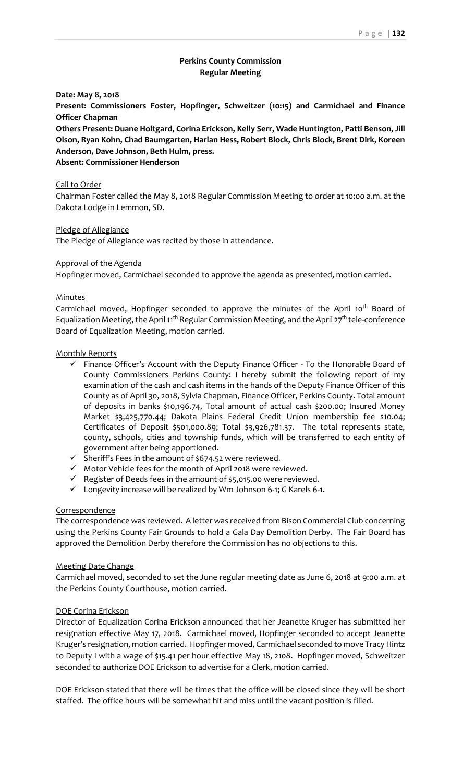# **Perkins County Commission Regular Meeting**

**Date: May 8, 2018**

**Present: Commissioners Foster, Hopfinger, Schweitzer (10:15) and Carmichael and Finance Officer Chapman**

**Others Present: Duane Holtgard, Corina Erickson, Kelly Serr, Wade Huntington, Patti Benson, Jill Olson, Ryan Kohn, Chad Baumgarten, Harlan Hess, Robert Block, Chris Block, Brent Dirk, Koreen Anderson, Dave Johnson, Beth Hulm, press.**

**Absent: Commissioner Henderson**

### Call to Order

Chairman Foster called the May 8, 2018 Regular Commission Meeting to order at 10:00 a.m. at the Dakota Lodge in Lemmon, SD.

Pledge of Allegiance

The Pledge of Allegiance was recited by those in attendance.

#### Approval of the Agenda

Hopfinger moved, Carmichael seconded to approve the agenda as presented, motion carried.

### **Minutes**

Carmichael moved, Hopfinger seconded to approve the minutes of the April 10<sup>th</sup> Board of Equalization Meeting, the April 11<sup>th</sup> Regular Commission Meeting, and the April 27<sup>th</sup> tele-conference Board of Equalization Meeting, motion carried.

#### Monthly Reports

- $\checkmark$  Finance Officer's Account with the Deputy Finance Officer To the Honorable Board of County Commissioners Perkins County: I hereby submit the following report of my examination of the cash and cash items in the hands of the Deputy Finance Officer of this County as of April 30, 2018, Sylvia Chapman, Finance Officer, Perkins County. Total amount of deposits in banks \$10,196.74, Total amount of actual cash \$200.00; Insured Money Market \$3,425,770.44; Dakota Plains Federal Credit Union membership fee \$10.04; Certificates of Deposit \$501,000.89; Total \$3,926,781.37. The total represents state, county, schools, cities and township funds, which will be transferred to each entity of government after being apportioned.
- $\checkmark$  Sheriff's Fees in the amount of \$674.52 were reviewed.
- ✓ Motor Vehicle fees for the month of April 2018 were reviewed.
- ✓ Register of Deeds fees in the amount of \$5,015.00 were reviewed.
- ✓ Longevity increase will be realized by Wm Johnson 6-1; G Karels 6-1.

### **Correspondence**

The correspondence was reviewed. A letter was received from Bison Commercial Club concerning using the Perkins County Fair Grounds to hold a Gala Day Demolition Derby. The Fair Board has approved the Demolition Derby therefore the Commission has no objections to this.

### Meeting Date Change

Carmichael moved, seconded to set the June regular meeting date as June 6, 2018 at 9:00 a.m. at the Perkins County Courthouse, motion carried.

## DOE Corina Erickson

Director of Equalization Corina Erickson announced that her Jeanette Kruger has submitted her resignation effective May 17, 2018. Carmichael moved, Hopfinger seconded to accept Jeanette Kruger's resignation, motion carried. Hopfinger moved, Carmichael seconded to move Tracy Hintz to Deputy I with a wage of \$15.41 per hour effective May 18, 2108. Hopfinger moved, Schweitzer seconded to authorize DOE Erickson to advertise for a Clerk, motion carried.

DOE Erickson stated that there will be times that the office will be closed since they will be short staffed. The office hours will be somewhat hit and miss until the vacant position is filled.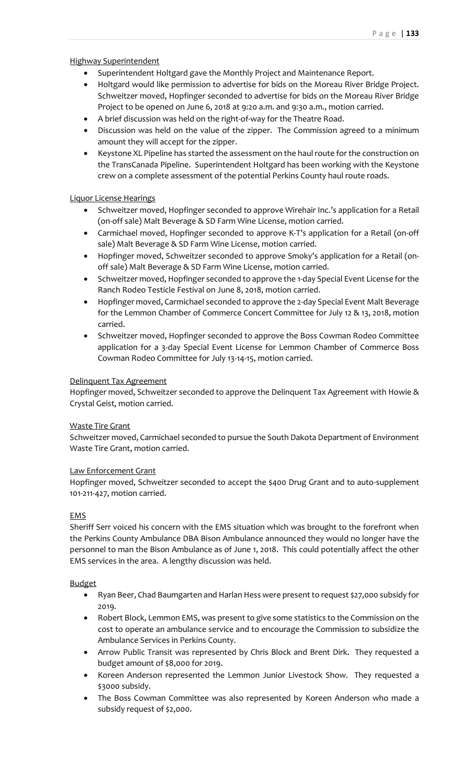Highway Superintendent

- Superintendent Holtgard gave the Monthly Project and Maintenance Report.
- Holtgard would like permission to advertise for bids on the Moreau River Bridge Project. Schweitzer moved, Hopfinger seconded to advertise for bids on the Moreau River Bridge Project to be opened on June 6, 2018 at 9:20 a.m. and 9:30 a.m., motion carried.
- A brief discussion was held on the right-of-way for the Theatre Road.
- Discussion was held on the value of the zipper. The Commission agreed to a minimum amount they will accept for the zipper.
- Keystone XL Pipeline has started the assessment on the haul route for the construction on the TransCanada Pipeline. Superintendent Holtgard has been working with the Keystone crew on a complete assessment of the potential Perkins County haul route roads.

# Liquor License Hearings

- Schweitzer moved, Hopfinger seconded to approve Wirehair Inc.'s application for a Retail (on-off sale) Malt Beverage & SD Farm Wine License, motion carried.
- Carmichael moved, Hopfinger seconded to approve K-T's application for a Retail (on-off sale) Malt Beverage & SD Farm Wine License, motion carried.
- Hopfinger moved, Schweitzer seconded to approve Smoky's application for a Retail (onoff sale) Malt Beverage & SD Farm Wine License, motion carried.
- Schweitzer moved, Hopfinger seconded to approve the 1-day Special Event License for the Ranch Rodeo Testicle Festival on June 8, 2018, motion carried.
- Hopfinger moved, Carmichael seconded to approve the 2-day Special Event Malt Beverage for the Lemmon Chamber of Commerce Concert Committee for July 12 & 13, 2018, motion carried.
- Schweitzer moved, Hopfinger seconded to approve the Boss Cowman Rodeo Committee application for a 3-day Special Event License for Lemmon Chamber of Commerce Boss Cowman Rodeo Committee for July 13-14-15, motion carried.

# Delinquent Tax Agreement

Hopfinger moved, Schweitzer seconded to approve the Delinquent Tax Agreement with Howie & Crystal Geist, motion carried.

## Waste Tire Grant

Schweitzer moved, Carmichael seconded to pursue the South Dakota Department of Environment Waste Tire Grant, motion carried.

## Law Enforcement Grant

Hopfinger moved, Schweitzer seconded to accept the \$400 Drug Grant and to auto-supplement 101-211-427, motion carried.

## EMS

Sheriff Serr voiced his concern with the EMS situation which was brought to the forefront when the Perkins County Ambulance DBA Bison Ambulance announced they would no longer have the personnel to man the Bison Ambulance as of June 1, 2018. This could potentially affect the other EMS services in the area. A lengthy discussion was held.

## Budget

- Ryan Beer, Chad Baumgarten and Harlan Hess were present to request \$27,000 subsidy for 2019.
- Robert Block, Lemmon EMS, was present to give some statistics to the Commission on the cost to operate an ambulance service and to encourage the Commission to subsidize the Ambulance Services in Perkins County.
- Arrow Public Transit was represented by Chris Block and Brent Dirk. They requested a budget amount of \$8,000 for 2019.
- Koreen Anderson represented the Lemmon Junior Livestock Show. They requested a \$3000 subsidy.
- The Boss Cowman Committee was also represented by Koreen Anderson who made a subsidy request of \$2,000.